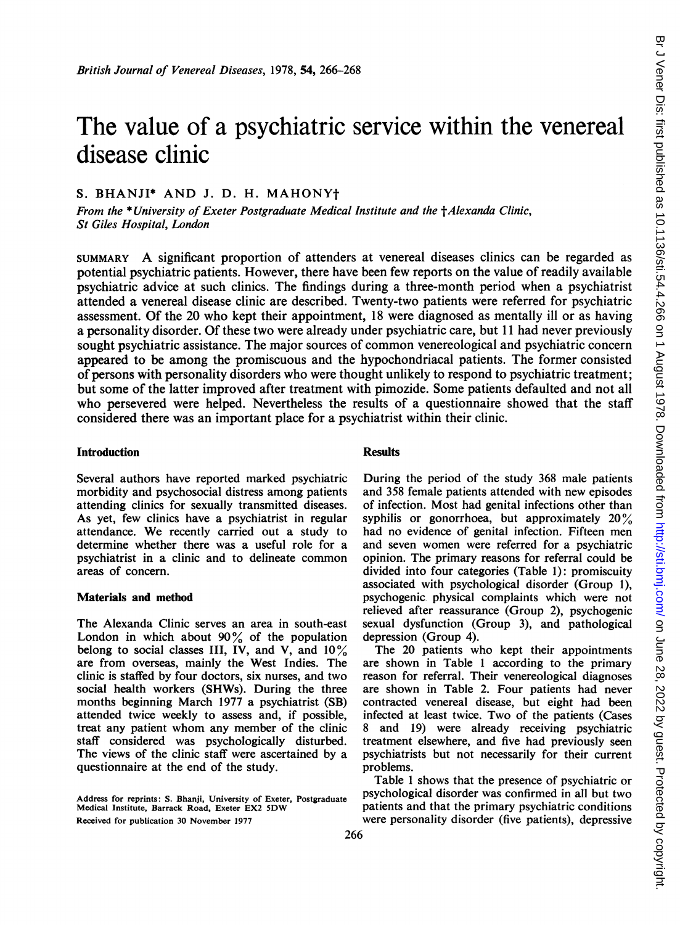# The value of a psychiatric service within the venereal disease clinic

## S. BHANJI\* AND J. D. H. MAHONYt

From the \*University of Exeter Postgraduate Medical Institute and the †Alexanda Clinic, St Giles Hospital, London

SUMMARY A significant proportion of attenders at venereal diseases clinics can be regarded as potential psychiatric patients. However, there have been few reports on the value of readily available psychiatric advice at such clinics. The findings during a three-month period when a psychiatrist attended a venereal disease clinic are described. Twenty-two patients were referred for psychiatric assessment. Of the 20 who kept their appointment, <sup>18</sup> were diagnosed as mentally ill or as having a personality disorder. Of these two were already under psychiatric care, but <sup>11</sup> had never previously sought psychiatric assistance. The major sources of common venereological and psychiatric concern appeared to be among the promiscuous and the hypochondriacal patients. The former consisted of persons with personality disorders who were thought unlikely to respond to psychiatric treatment; but some of the latter improved after treatment with pimozide. Some patients defaulted and not all who persevered were helped. Nevertheless the results of a questionnaire showed that the staff considered there was an important place for a psychiatrist within their clinic.

# **Introduction** Results

Several authors have reported marked psychiatric morbidity and psychosocial distress among patients attending clinics for sexually transmitted diseases. As yet, few clinics have a psychiatrist in regular attendance. We recently carried out <sup>a</sup> study to determine whether there was a useful role for a psychiatrist in a clinic and to delineate common areas of concern.

### Materials and method

The Alexanda Clinic serves an area in south-east London in which about  $90\%$  of the population belong to social classes III, IV, and V, and  $10\%$ are from overseas, mainly the West Indies. The clinic is staffed by four doctors, six nurses, and two social health workers (SHWs). During the three months beginning March 1977 a psychiatrist (SB) attended twice weekly to assess and, if possible, treat any patient whom any member of the clinic staff considered was psychologically disturbed. The views of the clinic staff were ascertained by a questionnaire at the end of the study.

During the period of the study 368 male patients and 358 female patients attended with new episodes of infection. Most had genital infections other than syphilis or gonorrhoea, but approximately  $20\%$ had no evidence of genital infection. Fifteen men and seven women were referred for a psychiatric opinion. The primary reasons for referral could be divided into four categories (Table 1): promiscuity associated with psychological disorder (Group 1), psychogenic physical complaints which were not relieved after reassurance (Group 2), psychogenic sexual dysfunction (Group 3), and pathological depression (Group 4).

The 20 patients who kept their appointments are shown in Table <sup>1</sup> according to the primary reason for referral. Their venereological diagnoses are shown in Table 2. Four patients had never contracted venereal disease, but eight had been infected at least twice. Two of the patients (Cases 8 and 19) were already receiving psychiatric treatment elsewhere, and five had previously seen psychiatrists but not necessarily for their current problems.

Table <sup>1</sup> shows that the presence of psychiatric or psychological disorder was confirmed in all but two patients and that the primary psychiatric conditions were personality disorder (five patients), depressive

Address for reprints: S. Bhanji, University of Exeter, Postgraduate Medical Institute, Barrack Road, Exeter EX2 5DW Received for publication 30 November 1977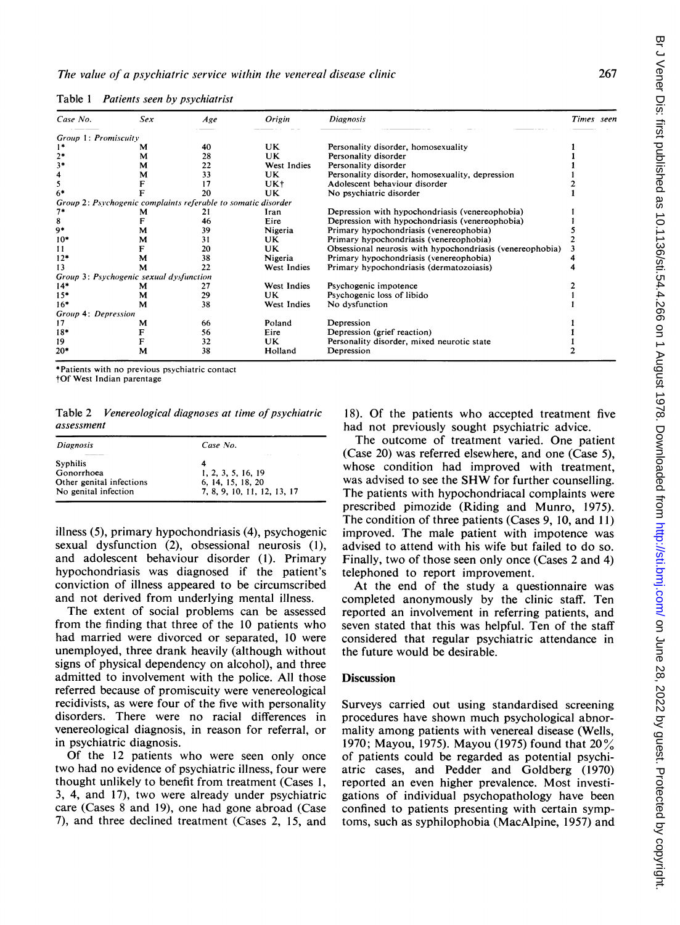| Case No.             | Sex                                     | Age                                                           | Origin      | <b>Diagnosis</b>                                          | Times seen |
|----------------------|-----------------------------------------|---------------------------------------------------------------|-------------|-----------------------------------------------------------|------------|
| Group 1: Promiscuity |                                         |                                                               |             |                                                           |            |
|                      | м                                       | 40                                                            | UK          | Personality disorder, homosexuality                       |            |
|                      | м                                       | 28                                                            | UK          | Personality disorder                                      |            |
| 3*                   | м                                       | 22                                                            | West Indies | Personality disorder                                      |            |
|                      | м                                       | 33                                                            | UK          | Personality disorder, homosexuality, depression           |            |
| 5                    |                                         | 17                                                            | UK+         | Adolescent behaviour disorder                             |            |
| $6*$                 |                                         | 20                                                            | UK          | No psychiatric disorder                                   |            |
|                      |                                         | Group 2: Psychogenic complaints referable to somatic disorder |             |                                                           |            |
| $7*$                 |                                         |                                                               | Iran        | Depression with hypochondriasis (venereophobia)           |            |
| 8                    |                                         | 46                                                            | Eire        | Depression with hypochondriasis (venereophobia)           |            |
| 9*                   | м                                       | 39                                                            | Nigeria     | Primary hypochondriasis (venereophobia)                   |            |
| $10*$                | м                                       | 31                                                            | UK          | Primary hypochondriasis (venereophobia)                   |            |
| 11                   |                                         | 20                                                            | UK          | Obsessional neurosis with hypochondriasis (venereophobia) |            |
| $12*$                | м                                       | 38                                                            | Nigeria     | Primary hypochondriasis (venereophobia)                   |            |
| 13                   | М                                       | 22                                                            | West Indies | Primary hypochondriasis (dermatozoiasis)                  |            |
|                      | Group 3: Psychogenic sexual dysfunction |                                                               |             |                                                           |            |
| $14*$                | м                                       | 27                                                            | West Indies | Psychogenic impotence                                     |            |
| $15*$                | м                                       | 29                                                            | UK          | Psychogenic loss of libido                                |            |
| $16*$                | м                                       | 38                                                            | West Indies | No dysfunction                                            |            |
| Group 4: Depression  |                                         |                                                               |             |                                                           |            |
| 17                   | м                                       | 66                                                            | Poland      | Depression                                                |            |
| $18*$                |                                         | 56                                                            | Eire        | Depression (grief reaction)                               |            |
| 19                   |                                         | 32                                                            | UK          | Personality disorder, mixed neurotic state                |            |
| $20*$                | M                                       | 38                                                            | Holland     | Depression                                                |            |

Table 1 Patients seen by psychiatrist

\*Patients with no previous psvchiatric contact

tOf West Indian parentage

Table 2 Venereological diagnoses at time of psychiatric assessment

| <b>Diagnosis</b>         | Case No.                    |  |  |
|--------------------------|-----------------------------|--|--|
| <b>Syphilis</b>          | .<br>4                      |  |  |
| Gonorrhoea               | 1, 2, 3, 5, 16, 19          |  |  |
| Other genital infections | 6, 14, 15, 18, 20           |  |  |
| No genital infection     | 7, 8, 9, 10, 11, 12, 13, 17 |  |  |

illness (5), primary hypochondriasis (4), psychogenic sexual dysfunction (2), obsessional neurosis (1), and adolescent behaviour disorder (1). Primary hypochondriasis was diagnosed if the patient's conviction of illness appeared to be circumscribed and not derived from underlying mental illness.

The extent of social problems can be assessed from the finding that three of the 10 patients who had married were divorced or separated, 10 were unemployed, three drank heavily (although without signs of physical dependency on alcohol), and three admitted to involvement with the police. All those referred because of promiscuity were venereological recidivists, as were four of the five with personality disorders. There were no racial differences in venereological diagnosis, in reason for referral, or in psychiatric diagnosis.

Of the 12 patients who were seen only once two had no evidence of psychiatric illness, four were thought unlikely to benefit from treatment (Cases 1, 3, 4, and 17), two were already under psychiatric care (Cases 8 and 19), one had gone abroad (Case 7), and three declined treatment (Cases 2, 15, and

18). Of the patients who accepted treatment five had not previously sought psychiatric advice.

The outcome of treatment varied. One patient (Case 20) was referred elsewhere, and one (Case 5), whose condition had improved with treatment, was advised to see the SHW for further counselling. The patients with hypochondriacal complaints were prescribed pimozide (Riding and Munro, 1975). The condition of three patients (Cases 9, 10, and 11) improved. The male patient with impotence was advised to attend with his wife but failed to do so. Finally, two of those seen only once (Cases 2 and 4) telephoned to report improvement.

At the end of the study a questionnaire was completed anonymously by the clinic staff. Ten reported an involvement in referring patients, and seven stated that this was helpful. Ten of the staff considered that regular psychiatric attendance in the future would be desirable.

### **Discussion**

Surveys carried out using standardised screening procedures have shown much psychological abnormality among patients with venereal disease (Wells, 1970; Mayou, 1975). Mayou (1975) found that  $20\%$ of patients could be regarded as potential psychiatric cases, and Pedder and Goldberg (1970) reported an even higher prevalence. Most investigations of individual psychopathology have been confined to patients presenting with certain symptoms, such as syphilophobia (MacAlpine, 1957) and